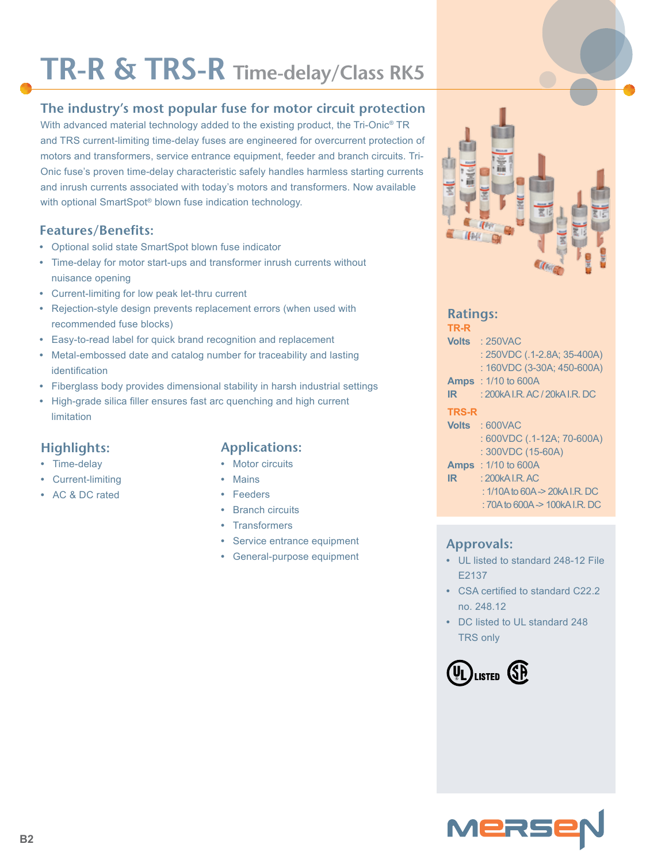# **TR-R & TRS-R Time-delay/Class RK5**

# **The industry's most popular fuse for motor circuit protection**

With advanced material technology added to the existing product, the Tri-Onic<sup>®</sup> TR and TRS current-limiting time-delay fuses are engineered for overcurrent protection of motors and transformers, service entrance equipment, feeder and branch circuits. Tri-Onic fuse's proven time-delay characteristic safely handles harmless starting currents and inrush currents associated with today's motors and transformers. Now available with optional SmartSpot® blown fuse indication technology.

## **Features/Benefits:**

- **•** Optional solid state SmartSpot blown fuse indicator
- **•** Time-delay for motor start-ups and transformer inrush currents without nuisance opening
- **•** Current-limiting for low peak let-thru current
- **•** Rejection-style design prevents replacement errors (when used with recommended fuse blocks)
- **•** Easy-to-read label for quick brand recognition and replacement
- **•** Metal-embossed date and catalog number for traceability and lasting identification
- **•** Fiberglass body provides dimensional stability in harsh industrial settings
- **•** High-grade silica filler ensures fast arc quenching and high current limitation

### **Highlights:**

- **•** Time-delay
- **•** Current-limiting
- **•** AC & DC rated

## **Applications:**

- **•** Motor circuits
- **•** Mains
- **•** Feeders
- **•** Branch circuits
- **•** Transformers
- **•** Service entrance equipment
- **•** General-purpose equipment



# **Ratings:**

| TR-R          |  |  |
|---------------|--|--|
| $M = M - 10E$ |  |  |

- **Volts** : 250VAC : 250VDC (.1-2.8A; 35-400A) : 160VDC (3-30A; 450-600A)
- **Amps** : 1/10 to 600A
- **IR** : 200kA I.R. AC / 20kA I.R. DC

#### **TRS-R**

- **Volts** : 600VAC : 600VDC (.1-12A; 70-600A) : 300VDC (15-60A) **Amps** : 1/10 to 600A
- **IR** : 200kA I.R. AC
	- : 1/10A to 60A -> 20kA I.R. DC
		- : 70A to 600A -> 100kA I.R. DC

### **Approvals:**

- **•** UL listed to standard 248-12 File E2137
- **•** CSA certified to standard C22.2 no. 248.12
- **•** DC listed to UL standard 248 TRS only